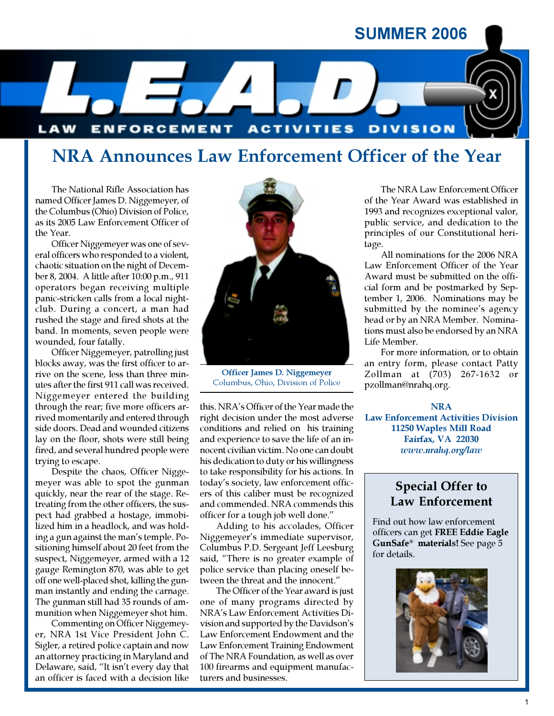## SUMMER 2006



# NRA Announces Law Enforcement Officer of the Year

The National Rifle Association has named Officer James D. Niggemeyer, of the Columbus (Ohio) Division of Police, as its 2005 Law Enforcement Officer of the Year.

Officer Niggemeyer was one of several officers who responded to a violent, chaotic situation on the night of December 8, 2004. A little after 10:00 p.m., 911 operators began receiving multiple panic-stricken calls from a local nightclub. During a concert, a man had rushed the stage and fired shots at the band. In moments, seven people were wounded, four fatally.

Officer Niggemeyer, patrolling just blocks away, was the first officer to arrive on the scene, less than three minutes after the first 911 call was received. Niggemeyer entered the building through the rear; five more officers arrived momentarily and entered through side doors. Dead and wounded citizens lay on the floor, shots were still being fired, and several hundred people were trying to escape.

Despite the chaos, Officer Niggemeyer was able to spot the gunman quickly, near the rear of the stage. Retreating from the other officers, the suspect had grabbed a hostage, immobilized him in a headlock, and was holding a gun against the man's temple. Positioning himself about 20 feet from the suspect, Niggemeyer, armed with a 12 gauge Remington 870, was able to get off one well-placed shot, killing the gunman instantly and ending the carnage. The gunman still had 35 rounds of ammunition when Niggemeyer shot him.

Commenting on Officer Niggemeyer, NRA 1st Vice President John C. Sigler, a retired police captain and now an attorney practicing in Maryland and Delaware, said, "It isn't every day that an officer is faced with a decision like



Officer James D. Niggemeyer Columbus, Ohio, Division of Police

this. NRA's Officer of the Year made the right decision under the most adverse conditions and relied on his training and experience to save the life of an innocent civilian victim. No one can doubt his dedication to duty or his willingness to take responsibility for his actions. In today's society, law enforcement officers of this caliber must be recognized and commended. NRA commends this officer for a tough job well done."

Adding to his accolades, Officer Niggemeyer's immediate supervisor, Columbus P.D. Sergeant Jeff Leesburg said, "There is no greater example of police service than placing oneself between the threat and the innocent."

The Officer of the Year award is just one of many programs directed by NRA's Law Enforcement Activities Division and supported by the Davidson's Law Enforcement Endowment and the Law Enforcement Training Endowment of The NRA Foundation, as well as over 100 firearms and equipment manufacturers and businesses.

The NRA Law Enforcement Officer of the Year Award was established in 1993 and recognizes exceptional valor, public service, and dedication to the principles of our Constitutional heritage.

All nominations for the 2006 NRA Law Enforcement Officer of the Year Award must be submitted on the official form and be postmarked by September 1, 2006. Nominations may be submitted by the nominee's agency head or by an NRA Member. Nominations must also be endorsed by an NRA Life Member.

For more information, or to obtain an entry form, please contact Patty Zollman at (703) 267-1632 or pzollman@nrahq.org.

NRA Law Enforcement Activities Division 11250 Waples Mill Road Fairfax, VA 22030 www.nrahq.org/law

## Special Offer to Law Enforcement

Find out how law enforcement officers can get FREE Eddie Eagle GunSafe® materials! See page 5 for details.

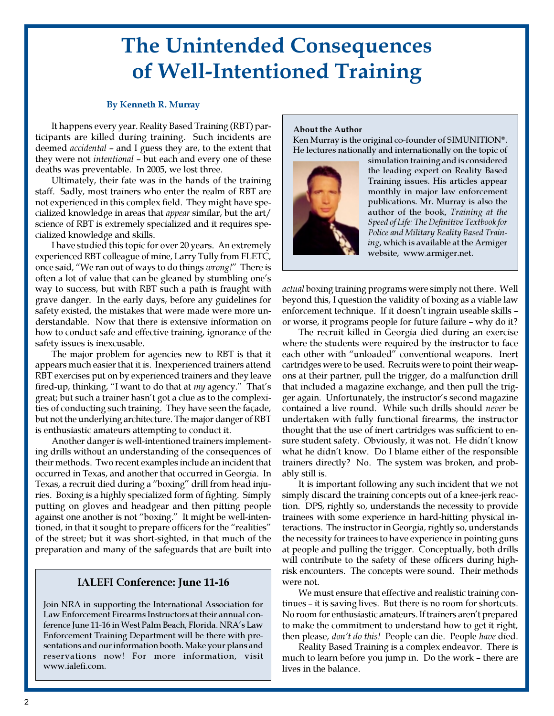# The Unintended Consequences of Well-Intentioned Training

### By Kenneth R. Murray

It happens every year. Reality Based Training (RBT) participants are killed during training. Such incidents are deemed accidental – and I guess they are, to the extent that they were not intentional – but each and every one of these deaths was preventable. In 2005, we lost three.

Ultimately, their fate was in the hands of the training staff. Sadly, most trainers who enter the realm of RBT are not experienced in this complex field. They might have specialized knowledge in areas that appear similar, but the art/ science of RBT is extremely specialized and it requires specialized knowledge and skills.

I have studied this topic for over 20 years. An extremely experienced RBT colleague of mine, Larry Tully from FLETC, once said, "We ran out of ways to do things wrong!" There is often a lot of value that can be gleaned by stumbling one's way to success, but with RBT such a path is fraught with grave danger. In the early days, before any guidelines for safety existed, the mistakes that were made were more understandable. Now that there is extensive information on how to conduct safe and effective training, ignorance of the safety issues is inexcusable.

The major problem for agencies new to RBT is that it appears much easier that it is. Inexperienced trainers attend RBT exercises put on by experienced trainers and they leave fired-up, thinking, "I want to do that at my agency." That's great; but such a trainer hasn't got a clue as to the complexities of conducting such training. They have seen the façade, but not the underlying architecture. The major danger of RBT is enthusiastic amateurs attempting to conduct it.

Another danger is well-intentioned trainers implementing drills without an understanding of the consequences of their methods. Two recent examples include an incident that occurred in Texas, and another that occurred in Georgia. In Texas, a recruit died during a "boxing" drill from head injuries. Boxing is a highly specialized form of fighting. Simply putting on gloves and headgear and then pitting people against one another is not "boxing." It might be well-intentioned, in that it sought to prepare officers for the "realities" of the street; but it was short-sighted, in that much of the preparation and many of the safeguards that are built into

## IALEFI Conference: June 11-16

Join NRA in supporting the International Association for Law Enforcement Firearms Instructors at their annual conference June 11-16 in West Palm Beach, Florida. NRA's Law Enforcement Training Department will be there with presentations and our information booth. Make your plans and reservations now! For more information, visit www.ialefi.com.

#### About the Author

Ken Murray is the original co-founder of SIMUNITION®. He lectures nationally and internationally on the topic of



simulation training and is considered the leading expert on Reality Based Training issues. His articles appear monthly in major law enforcement publications. Mr. Murray is also the author of the book, Training at the Speed of Life: The Definitive Textbook for Police and Military Reality Based Training, which is available at the Armiger website, www.armiger.net.

actual boxing training programs were simply not there. Well beyond this, I question the validity of boxing as a viable law enforcement technique. If it doesn't ingrain useable skills – or worse, it programs people for future failure – why do it?

The recruit killed in Georgia died during an exercise where the students were required by the instructor to face each other with "unloaded" conventional weapons. Inert cartridges were to be used. Recruits were to point their weapons at their partner, pull the trigger, do a malfunction drill that included a magazine exchange, and then pull the trigger again. Unfortunately, the instructor's second magazine contained a live round. While such drills should never be undertaken with fully functional firearms, the instructor thought that the use of inert cartridges was sufficient to ensure student safety. Obviously, it was not. He didn't know what he didn't know. Do I blame either of the responsible trainers directly? No. The system was broken, and probably still is.

It is important following any such incident that we not simply discard the training concepts out of a knee-jerk reaction. DPS, rightly so, understands the necessity to provide trainees with some experience in hard-hitting physical interactions. The instructor in Georgia, rightly so, understands the necessity for trainees to have experience in pointing guns at people and pulling the trigger. Conceptually, both drills will contribute to the safety of these officers during highrisk encounters. The concepts were sound. Their methods were not.

We must ensure that effective and realistic training continues – it is saving lives. But there is no room for shortcuts. No room for enthusiastic amateurs. If trainers aren't prepared to make the commitment to understand how to get it right, then please, don't do this! People can die. People have died.

Reality Based Training is a complex endeavor. There is much to learn before you jump in. Do the work – there are lives in the balance.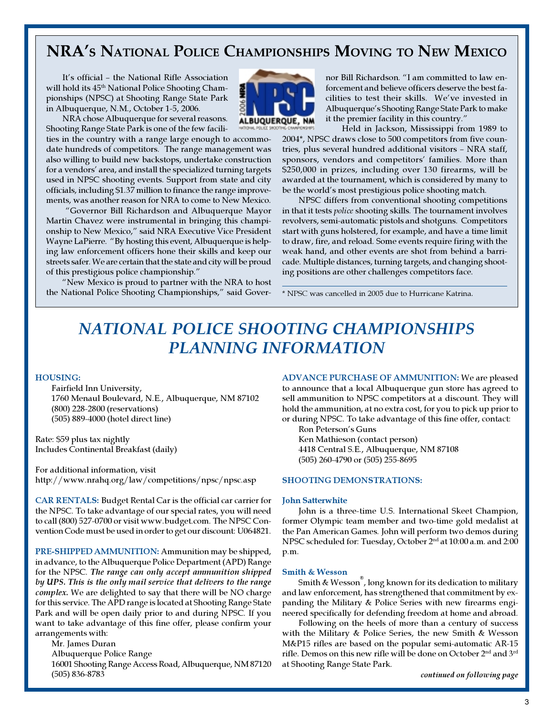# NRA'S NATIONAL POLICE CHAMPIONSHIPS MOVING TO NEW MEXICO

It's official – the National Rifle Association will hold its  $45<sup>th</sup>$  National Police Shooting Championships (NPSC) at Shooting Range State Park in Albuquerque, N.M., October 1-5, 2006.

NRA chose Albuquerque for several reasons. Shooting Range State Park is one of the few facili-

ties in the country with a range large enough to accommodate hundreds of competitors. The range management was also willing to build new backstops, undertake construction for a vendors' area, and install the specialized turning targets used in NPSC shooting events. Support from state and city officials, including \$1.37 million to finance the range improvements, was another reason for NRA to come to New Mexico.

 "Governor Bill Richardson and Albuquerque Mayor Martin Chavez were instrumental in bringing this championship to New Mexico," said NRA Executive Vice President Wayne LaPierre. "By hosting this event, Albuquerque is helping law enforcement officers hone their skills and keep our streets safer. We are certain that the state and city will be proud of this prestigious police championship."

"New Mexico is proud to partner with the NRA to host the National Police Shooting Championships," said Gover-



nor Bill Richardson. "I am committed to law enforcement and believe officers deserve the best facilities to test their skills. We've invested in Albuquerque's Shooting Range State Park to make it the premier facility in this country."

Held in Jackson, Mississippi from 1989 to 2004\*, NPSC draws close to 500 competitors from five countries, plus several hundred additional visitors – NRA staff, sponsors, vendors and competitors' families. More than \$250,000 in prizes, including over 130 firearms, will be awarded at the tournament, which is considered by many to be the world's most prestigious police shooting match.

NPSC differs from conventional shooting competitions in that it tests police shooting skills. The tournament involves revolvers, semi-automatic pistols and shotguns. Competitors start with guns holstered, for example, and have a time limit to draw, fire, and reload. Some events require firing with the weak hand, and other events are shot from behind a barricade. Multiple distances, turning targets, and changing shooting positions are other challenges competitors face.

\* NPSC was cancelled in 2005 due to Hurricane Katrina.

# NATIONAL POLICE SHOOTING CHAMPIONSHIPS PLANNING INFORMATION

#### HOUSING:

Fairfield Inn University, 1760 Menaul Boulevard, N.E., Albuquerque, NM 87102 (800) 228-2800 (reservations) (505) 889-4000 (hotel direct line)

Rate: \$59 plus tax nightly Includes Continental Breakfast (daily)

For additional information, visit http://www.nrahq.org/law/competitions/npsc/npsc.asp

CAR RENTALS: Budget Rental Car is the official car carrier for the NPSC. To take advantage of our special rates, you will need to call (800) 527-0700 or visit www.budget.com. The NPSC Convention Code must be used in order to get our discount: U064821.

PRE-SHIPPED AMMUNITION: Ammunition may be shipped, in advance, to the Albuquerque Police Department (APD) Range for the NPSC. The range can only accept ammunition shipped by UPS. This is the only mail service that delivers to the range complex. We are delighted to say that there will be NO charge for this service. The APD range is located at Shooting Range State Park and will be open daily prior to and during NPSC. If you want to take advantage of this fine offer, please confirm your arrangements with:

Mr. James Duran

Albuquerque Police Range

16001 Shooting Range Access Road, Albuquerque, NM 87120 (505) 836-8783

ADVANCE PURCHASE OF AMMUNITION: We are pleased to announce that a local Albuquerque gun store has agreed to sell ammunition to NPSC competitors at a discount. They will hold the ammunition, at no extra cost, for you to pick up prior to or during NPSC. To take advantage of this fine offer, contact:

Ron Peterson's Guns Ken Mathieson (contact person) 4418 Central S.E., Albuquerque, NM 87108 (505) 260-4790 or (505) 255-8695

#### SHOOTING DEMONSTRATIONS:

#### John Satterwhite

John is a three-time U.S. International Skeet Champion, former Olympic team member and two-time gold medalist at the Pan American Games. John will perform two demos during NPSC scheduled for: Tuesday, October 2nd at 10:00 a.m. and 2:00 p.m.

#### Smith & Wesson

Smith & Wesson® , long known for its dedication to military and law enforcement, has strengthened that commitment by expanding the Military & Police Series with new firearms engineered specifically for defending freedom at home and abroad.

Following on the heels of more than a century of success with the Military & Police Series, the new Smith & Wesson M&P15 rifles are based on the popular semi-automatic AR-15 rifle. Demos on this new rifle will be done on October 2nd and 3rd at Shooting Range State Park.

continued on following page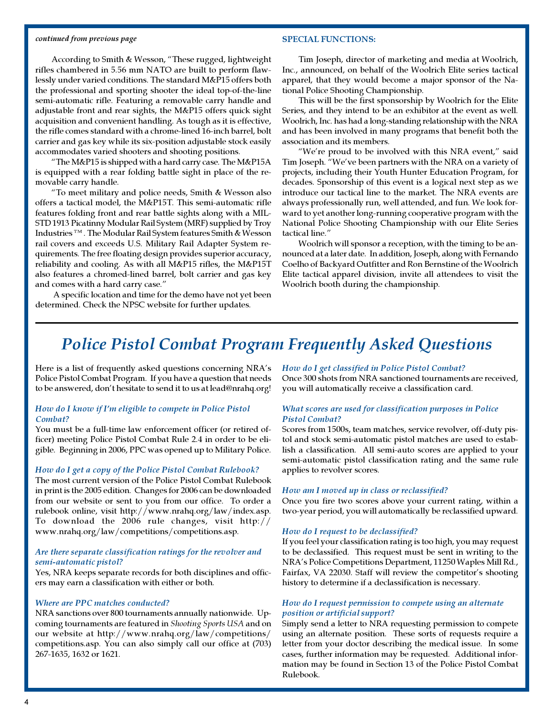#### continued from previous page

#### SPECIAL FUNCTIONS:

According to Smith & Wesson, "These rugged, lightweight rifles chambered in 5.56 mm NATO are built to perform flawlessly under varied conditions. The standard M&P15 offers both the professional and sporting shooter the ideal top-of-the-line semi-automatic rifle. Featuring a removable carry handle and adjustable front and rear sights, the M&P15 offers quick sight acquisition and convenient handling. As tough as it is effective, the rifle comes standard with a chrome-lined 16-inch barrel, bolt carrier and gas key while its six-position adjustable stock easily accommodates varied shooters and shooting positions.

"The M&P15 is shipped with a hard carry case. The M&P15A is equipped with a rear folding battle sight in place of the removable carry handle.

"To meet military and police needs, Smith & Wesson also offers a tactical model, the M&P15T. This semi-automatic rifle features folding front and rear battle sights along with a MIL-STD 1913 Picatinny Modular Rail System (MRF) supplied by Troy Industries ™ . The Modular Rail System features Smith & Wesson rail covers and exceeds U.S. Military Rail Adapter System requirements. The free floating design provides superior accuracy, reliability and cooling. As with all M&P15 rifles, the M&P15T also features a chromed-lined barrel, bolt carrier and gas key and comes with a hard carry case."

 A specific location and time for the demo have not yet been determined. Check the NPSC website for further updates.

Tim Joseph, director of marketing and media at Woolrich, Inc., announced, on behalf of the Woolrich Elite series tactical apparel, that they would become a major sponsor of the National Police Shooting Championship.

This will be the first sponsorship by Woolrich for the Elite Series, and they intend to be an exhibitor at the event as well. Woolrich, Inc. has had a long-standing relationship with the NRA and has been involved in many programs that benefit both the association and its members.

"We're proud to be involved with this NRA event," said Tim Joseph. "We've been partners with the NRA on a variety of projects, including their Youth Hunter Education Program, for decades. Sponsorship of this event is a logical next step as we introduce our tactical line to the market. The NRA events are always professionally run, well attended, and fun. We look forward to yet another long-running cooperative program with the National Police Shooting Championship with our Elite Series tactical line."

Woolrich will sponsor a reception, with the timing to be announced at a later date. In addition, Joseph, along with Fernando Coelho of Backyard Outfitter and Ron Bernstine of the Woolrich Elite tactical apparel division, invite all attendees to visit the Woolrich booth during the championship.

# Police Pistol Combat Program Frequently Asked Questions

Here is a list of frequently asked questions concerning NRA's Police Pistol Combat Program. If you have a question that needs to be answered, don't hesitate to send it to us at lead@nrahq.org!

### How do I know if I'm eligible to compete in Police Pistol Comba<sub>t</sub>?

You must be a full-time law enforcement officer (or retired officer) meeting Police Pistol Combat Rule 2.4 in order to be eligible. Beginning in 2006, PPC was opened up to Military Police.

#### How do I get a copy of the Police Pistol Combat Rulebook?

The most current version of the Police Pistol Combat Rulebook in print is the 2005 edition. Changes for 2006 can be downloaded from our website or sent to you from our office. To order a rulebook online, visit http://www.nrahq.org/law/index.asp. To download the 2006 rule changes, visit http:// www.nrahq.org/law/competitions/competitions.asp.

### Are there separate classification ratings for the revolver and semi-automatic pistol?

Yes, NRA keeps separate records for both disciplines and officers may earn a classification with either or both.

#### Where are PPC matches conducted?

NRA sanctions over 800 tournaments annually nationwide. Upcoming tournaments are featured in Shooting Sports USA and on our website at http://www.nrahq.org/law/competitions/ competitions.asp. You can also simply call our office at (703) 267-1635, 1632 or 1621.

How do I get classified in Police Pistol Combat? Once 300 shots from NRA sanctioned tournaments are received, you will automatically receive a classification card.

#### What scores are used for classification purposes in Police Pistol Combat?

Scores from 1500s, team matches, service revolver, off-duty pistol and stock semi-automatic pistol matches are used to establish a classification. All semi-auto scores are applied to your semi-automatic pistol classification rating and the same rule applies to revolver scores.

#### How am I moved up in class or reclassified?

Once you fire two scores above your current rating, within a two-year period, you will automatically be reclassified upward.

#### How do I request to be declassified?

If you feel your classification rating is too high, you may request to be declassified. This request must be sent in writing to the NRA's Police Competitions Department, 11250 Waples Mill Rd., Fairfax, VA 22030. Staff will review the competitor's shooting history to determine if a declassification is necessary.

#### How do I request permission to compete using an alternate position or artificial support?

Simply send a letter to NRA requesting permission to compete using an alternate position. These sorts of requests require a letter from your doctor describing the medical issue. In some cases, further information may be requested. Additional information may be found in Section 13 of the Police Pistol Combat Rulebook.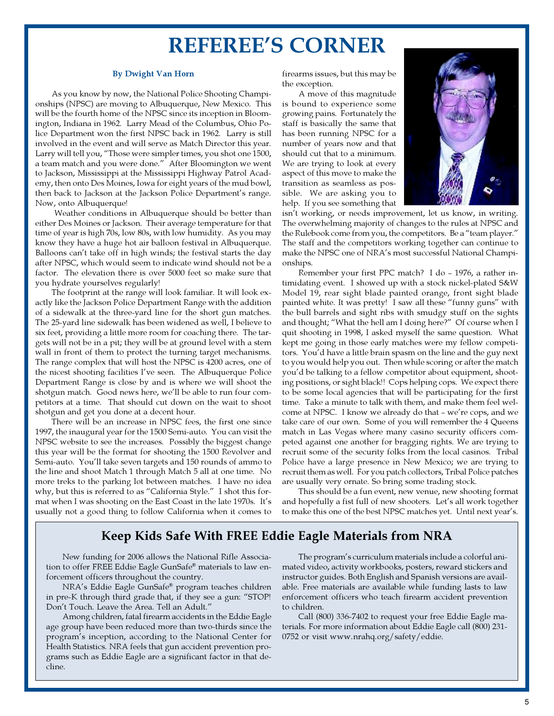# REFEREE'S CORNER

#### By Dwight Van Horn

As you know by now, the National Police Shooting Championships (NPSC) are moving to Albuquerque, New Mexico. This will be the fourth home of the NPSC since its inception in Bloomington, Indiana in 1962. Larry Mead of the Columbus, Ohio Police Department won the first NPSC back in 1962. Larry is still involved in the event and will serve as Match Director this year. Larry will tell you, "Those were simpler times, you shot one 1500, a team match and you were done." After Bloomington we went to Jackson, Mississippi at the Mississippi Highway Patrol Academy, then onto Des Moines, Iowa for eight years of the mud bowl, then back to Jackson at the Jackson Police Department's range. Now, onto Albuquerque!

 Weather conditions in Albuquerque should be better than either Des Moines or Jackson. Their average temperature for that time of year is high 70s, low 80s, with low humidity. As you may know they have a huge hot air balloon festival in Albuquerque. Balloons can't take off in high winds; the festival starts the day after NPSC, which would seem to indicate wind should not be a factor. The elevation there is over 5000 feet so make sure that you hydrate yourselves regularly!

The footprint at the range will look familiar. It will look exactly like the Jackson Police Department Range with the addition of a sidewalk at the three-yard line for the short gun matches. The 25-yard line sidewalk has been widened as well, I believe to six feet, providing a little more room for coaching there. The targets will not be in a pit; they will be at ground level with a stem wall in front of them to protect the turning target mechanisms. The range complex that will host the NPSC is 4200 acres, one of the nicest shooting facilities I've seen. The Albuquerque Police Department Range is close by and is where we will shoot the shotgun match. Good news here, we'll be able to run four competitors at a time. That should cut down on the wait to shoot shotgun and get you done at a decent hour.

There will be an increase in NPSC fees, the first one since 1997, the inaugural year for the 1500 Semi-auto. You can visit the NPSC website to see the increases. Possibly the biggest change this year will be the format for shooting the 1500 Revolver and Semi-auto. You'll take seven targets and 150 rounds of ammo to the line and shoot Match 1 through Match 5 all at one time. No more treks to the parking lot between matches. I have no idea why, but this is referred to as "California Style." I shot this format when I was shooting on the East Coast in the late 1970s. It's usually not a good thing to follow California when it comes to

firearms issues, but this may be the exception.

A move of this magnitude is bound to experience some growing pains. Fortunately the staff is basically the same that has been running NPSC for a number of years now and that should cut that to a minimum. We are trying to look at every aspect of this move to make the transition as seamless as possible. We are asking you to help. If you see something that



isn't working, or needs improvement, let us know, in writing. The overwhelming majority of changes to the rules at NPSC and the Rulebook come from you, the competitors. Be a "team player." The staff and the competitors working together can continue to make the NPSC one of NRA's most successful National Championships.

Remember your first PPC match? I do – 1976, a rather intimidating event. I showed up with a stock nickel-plated S&W Model 19, rear sight blade painted orange, front sight blade painted white. It was pretty! I saw all these "funny guns" with the bull barrels and sight ribs with smudgy stuff on the sights and thought; "What the hell am I doing here?" Of course when I quit shooting in 1998, I asked myself the same question. What kept me going in those early matches were my fellow competitors. You'd have a little brain spasm on the line and the guy next to you would help you out. Then while scoring or after the match you'd be talking to a fellow competitor about equipment, shooting positions, or sight black!! Cops helping cops. We expect there to be some local agencies that will be participating for the first time. Take a minute to talk with them, and make them feel welcome at NPSC. I know we already do that – we're cops, and we take care of our own. Some of you will remember the 4 Queens match in Las Vegas where many casino security officers competed against one another for bragging rights. We are trying to recruit some of the security folks from the local casinos. Tribal Police have a large presence in New Mexico; we are trying to recruit them as well. For you patch collectors, Tribal Police patches are usually very ornate. So bring some trading stock.

This should be a fun event, new venue, new shooting format and hopefully a fist full of new shooters. Let's all work together to make this one of the best NPSC matches yet. Until next year's.

## Keep Kids Safe With FREE Eddie Eagle Materials from NRA

New funding for 2006 allows the National Rifle Association to offer FREE Eddie Eagle GunSafe® materials to law enforcement officers throughout the country.

NRA's Eddie Eagle GunSafe® program teaches children in pre-K through third grade that, if they see a gun: "STOP! Don't Touch. Leave the Area. Tell an Adult."

Among children, fatal firearm accidents in the Eddie Eagle age group have been reduced more than two-thirds since the program's inception, according to the National Center for Health Statistics. NRA feels that gun accident prevention programs such as Eddie Eagle are a significant factor in that decline.

The program's curriculum materials include a colorful animated video, activity workbooks, posters, reward stickers and instructor guides. Both English and Spanish versions are available. Free materials are available while funding lasts to law enforcement officers who teach firearm accident prevention to children.

Call (800) 336-7402 to request your free Eddie Eagle materials. For more information about Eddie Eagle call (800) 231- 0752 or visit www.nrahq.org/safety/eddie.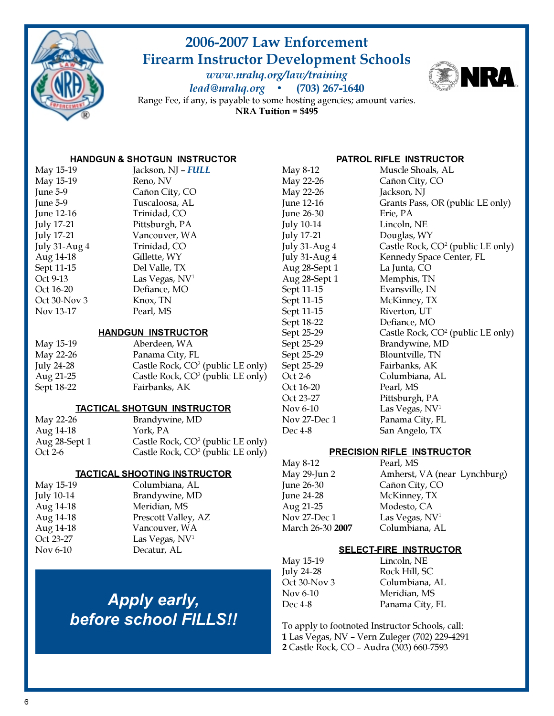

# 2006-2007 Law Enforcement Firearm Instructor Development Schools

www.nrahq.org/law/training lead@nrahq.org • (703) 267-1640



Range Fee, if any, is payable to some hosting agencies; amount varies. NRA Tuition = \$495

## HANDGUN & SHOTGUN INSTRUCTOR

| May 15-19            | Jackson, NJ – FULL         |
|----------------------|----------------------------|
| May 15-19            | Reno, NV                   |
| June 5-9             | Cañon City, CO             |
| June 5-9             | Tuscaloosa, AL             |
| June 12-16           | Trinidad, CO               |
| <b>July 17-21</b>    | Pittsburgh, PA             |
| <b>July 17-21</b>    | Vancouver, WA              |
| <b>July 31-Aug 4</b> | Trinidad, CO               |
| Aug 14-18            | Gillette, WY               |
| Sept 11-15           | Del Valle, TX              |
| Oct 9-13             | Las Vegas, NV <sup>1</sup> |
| Oct 16-20            | Defiance, MO               |
| Oct 30-Nov 3         | Knox, TN                   |
| Nov 13-17            | Pearl, MS                  |
|                      |                            |

### HANDGUN INSTRUCTOR

| Aberdeen, WA                                  |
|-----------------------------------------------|
| Panama City, FL                               |
| Castle Rock, $CO2$ (public LE only)           |
| Castle Rock, CO <sup>2</sup> (public LE only) |
| Fairbanks, AK                                 |
|                                               |

## TACTICAL SHOTGUN INSTRUCTOR

| May 22-26     | Brandywine, MD                      |
|---------------|-------------------------------------|
| Aug 14-18     | York. PA                            |
| Aug 28-Sept 1 | Castle Rock, $CO2$ (public LE only) |
| Oct 2-6       | Castle Rock, $CO2$ (public LE only) |

## TACTICAL SHOOTING INSTRUCTOR

| May 15-19  | Columbiana, AL             |
|------------|----------------------------|
| July 10-14 | Brandywine, MD             |
| Aug 14-18  | Meridian, MS               |
| Aug 14-18  | Prescott Valley, AZ        |
| Aug 14-18  | Vancouver, WA              |
| Oct 23-27  | Las Vegas, NV <sup>1</sup> |
| Nov 6-10   | Decatur, AL                |
|            |                            |

# Apply early, before school FILLS!!

## PATROL RIFLE INSTRUCTOR

May 22-26 Jackson, NJ June 26-30 Erie, PA July 10-14 Lincoln, NE July 17-21 Douglas, WY Aug 28-Sept 1 La Junta, CO Aug 28-Sept 1 Memphis, TN Sept 11-15 Evansville, IN Sept 11-15 McKinney, TX Sept 11-15 Riverton, UT Sept 18-22 Defiance, MO Sept 25-29 Blountville, TN Sept 25-29 Fairbanks, AK Oct 16-20 Pearl, MS Oct 23-27 Pittsburgh, PA Nov 6-10 Las Vegas, NV<sup>1</sup> Dec 4-8 San Angelo, TX

May 8-12 Muscle Shoals, AL<br>May 22-26 Cañon City, CO Cañon City, CO June 12-16 Grants Pass, OR (public LE only) July 31-Aug 4 Castle Rock, CO<sup>2</sup> (public LE only) July 31-Aug 4 Kennedy Space Center, FL Sept 25-29 Castle Rock, CO<sup>2</sup> (public LE only) Sept 25-29 Brandywine, MD Oct 2-6 Columbiana, AL Nov 27-Dec 1 Panama City, FL

## PRECISION RIFLE INSTRUCTOR

| May 8-12         | Pearl, MS                    |
|------------------|------------------------------|
| May 29-Jun 2     | Amherst, VA (near Lynchburg) |
| June 26-30       | Cañon City, CO               |
| June 24-28       | McKinney, TX                 |
| Aug 21-25        | Modesto, CA                  |
| Nov 27-Dec 1     | Las Vegas, NV <sup>1</sup>   |
| March 26-30 2007 | Columbiana, AL               |
|                  |                              |

## SELECT-FIRE INSTRUCTOR

| Lincoln, NE     |
|-----------------|
| Rock Hill, SC   |
| Columbiana, AL  |
| Meridian, MS    |
| Panama City, FL |
|                 |

To apply to footnoted Instructor Schools, call: 1 Las Vegas, NV – Vern Zuleger (702) 229-4291 2 Castle Rock, CO – Audra (303) 660-7593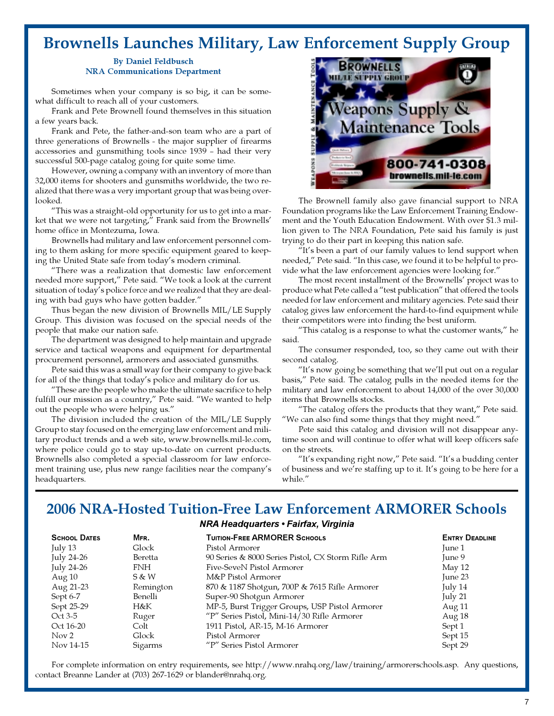# Brownells Launches Military, Law Enforcement Supply Group

#### By Daniel Feldbusch NRA Communications Department

Sometimes when your company is so big, it can be somewhat difficult to reach all of your customers.

Frank and Pete Brownell found themselves in this situation a few years back.

Frank and Pete, the father-and-son team who are a part of three generations of Brownells - the major supplier of firearms accessories and gunsmithing tools since 1939 – had their very successful 500-page catalog going for quite some time.

However, owning a company with an inventory of more than 32,000 items for shooters and gunsmiths worldwide, the two realized that there was a very important group that was being overlooked.

"This was a straight-old opportunity for us to get into a market that we were not targeting," Frank said from the Brownells' home office in Montezuma, Iowa.

Brownells had military and law enforcement personnel coming to them asking for more specific equipment geared to keeping the United State safe from today's modern criminal.

"There was a realization that domestic law enforcement needed more support," Pete said. "We took a look at the current situation of today's police force and we realized that they are dealing with bad guys who have gotten badder."

Thus began the new division of Brownells MIL/LE Supply Group. This division was focused on the special needs of the people that make our nation safe.

The department was designed to help maintain and upgrade service and tactical weapons and equipment for departmental procurement personnel, armorers and associated gunsmiths.

Pete said this was a small way for their company to give back for all of the things that today's police and military do for us.

"These are the people who make the ultimate sacrifice to help fulfill our mission as a country," Pete said. "We wanted to help out the people who were helping us."

The division included the creation of the MIL/LE Supply Group to stay focused on the emerging law enforcement and military product trends and a web site, www.brownells.mil-le.com, where police could go to stay up-to-date on current products. Brownells also completed a special classroom for law enforcement training use, plus new range facilities near the company's headquarters.



The Brownell family also gave financial support to NRA Foundation programs like the Law Enforcement Training Endowment and the Youth Education Endowment. With over \$1.3 million given to The NRA Foundation, Pete said his family is just trying to do their part in keeping this nation safe.

"It's been a part of our family values to lend support when needed," Pete said. "In this case, we found it to be helpful to provide what the law enforcement agencies were looking for."

The most recent installment of the Brownells' project was to produce what Pete called a "test publication" that offered the tools needed for law enforcement and military agencies. Pete said their catalog gives law enforcement the hard-to-find equipment while their competitors were into finding the best uniform.

"This catalog is a response to what the customer wants," he said.

The consumer responded, too, so they came out with their second catalog.

"It's now going be something that we'll put out on a regular basis," Pete said. The catalog pulls in the needed items for the military and law enforcement to about 14,000 of the over 30,000 items that Brownells stocks.

"The catalog offers the products that they want," Pete said. "We can also find some things that they might need."

Pete said this catalog and division will not disappear anytime soon and will continue to offer what will keep officers safe on the streets.

"It's expanding right now," Pete said. "It's a budding center of business and we're staffing up to it. It's going to be here for a while."

## 2006 NRA-Hosted Tuition-Free Law Enforcement ARMORER Schools

### NRA Headquarters • Fairfax, Virginia

| <b>SCHOOL DATES</b> | MFR.      | <b>TUITION-FREE ARMORER SCHOOLS</b>                | <b>ENTRY DEADLINE</b> |
|---------------------|-----------|----------------------------------------------------|-----------------------|
| July $13$           | Glock     | Pistol Armorer                                     | June 1                |
| July 24-26          | Beretta   | 90 Series & 8000 Series Pistol, CX Storm Rifle Arm | June 9                |
| July 24-26          | FNH       | Five-SeveN Pistol Armorer                          | May $12$              |
| Aug $10$            | S & W     | M&P Pistol Armorer                                 | June 23               |
| Aug 21-23           | Remington | 870 & 1187 Shotgun, 700P & 7615 Rifle Armorer      | July 14               |
| Sept 6-7            | Benelli   | Super-90 Shotgun Armorer                           | July 21               |
| Sept 25-29          | H&K       | MP-5, Burst Trigger Groups, USP Pistol Armorer     | Aug 11                |
| Oct 3-5             | Ruger     | "P" Series Pistol, Mini-14/30 Rifle Armorer        | Aug 18                |
| Oct 16-20           | Colt      | 1911 Pistol, AR-15, M-16 Armorer                   | Sept 1                |
| Nov 2               | Glock     | Pistol Armorer                                     | Sept 15               |
| Nov 14-15           | Sigarms   | "P" Series Pistol Armorer                          | Sept 29               |

For complete information on entry requirements, see http://www.nrahq.org/law/training/armorerschools.asp. Any questions, contact Breanne Lander at (703) 267-1629 or blander@nrahq.org.